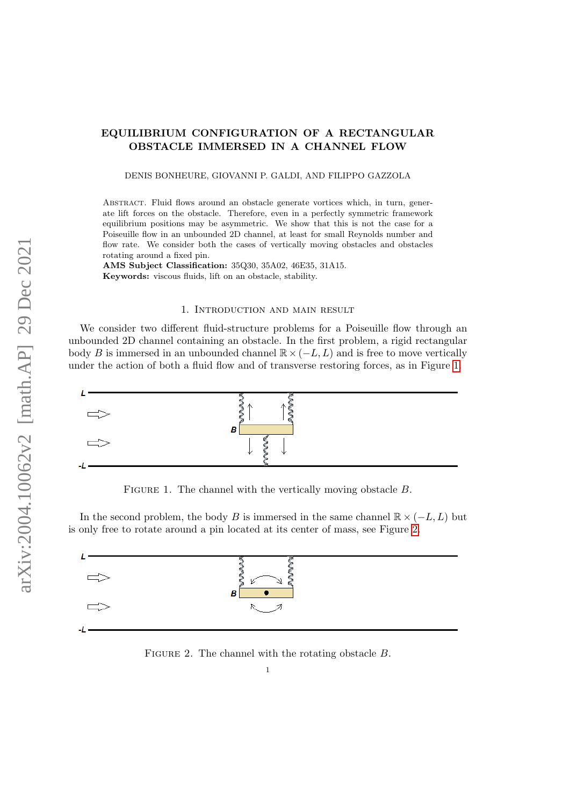## EQUILIBRIUM CONFIGURATION OF A RECTANGULAR OBSTACLE IMMERSED IN A CHANNEL FLOW

DENIS BONHEURE, GIOVANNI P. GALDI, AND FILIPPO GAZZOLA

ABSTRACT. Fluid flows around an obstacle generate vortices which, in turn, generate lift forces on the obstacle. Therefore, even in a perfectly symmetric framework equilibrium positions may be asymmetric. We show that this is not the case for a Poiseuille flow in an unbounded 2D channel, at least for small Reynolds number and flow rate. We consider both the cases of vertically moving obstacles and obstacles rotating around a fixed pin.

AMS Subject Classification: 35Q30, 35A02, 46E35, 31A15. Keywords: viscous fluids, lift on an obstacle, stability.

## 1. Introduction and main result

We consider two different fluid-structure problems for a Poiseuille flow through an unbounded 2D channel containing an obstacle. In the first problem, a rigid rectangular body B is immersed in an unbounded channel  $\mathbb{R} \times (-L, L)$  and is free to move vertically under the action of both a fluid flow and of transverse restoring forces, as in Figure [1.](#page-0-0)



<span id="page-0-0"></span>FIGURE 1. The channel with the vertically moving obstacle  $B$ .

In the second problem, the body B is immersed in the same channel  $\mathbb{R} \times (-L, L)$  but is only free to rotate around a pin located at its center of mass, see Figure [2.](#page-0-1)



<span id="page-0-1"></span>FIGURE 2. The channel with the rotating obstacle  $B$ .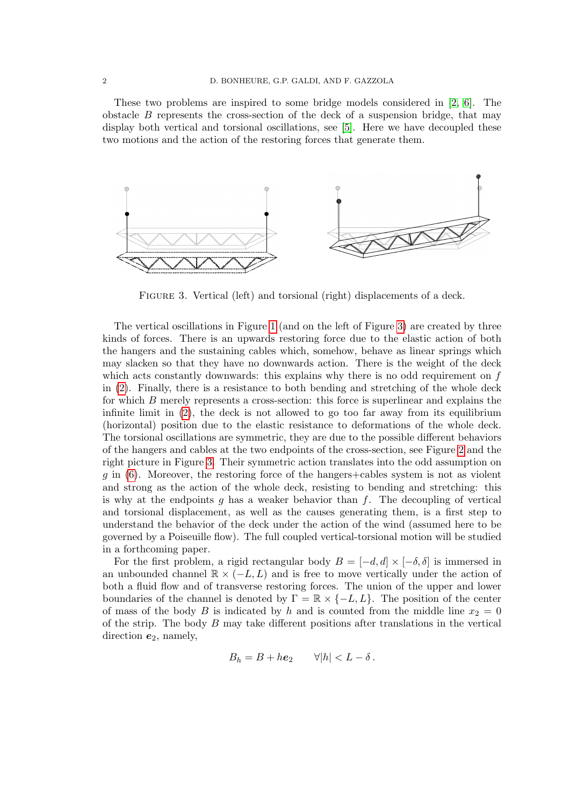These two problems are inspired to some bridge models considered in [\[2,](#page-11-0) [6\]](#page-11-1). The obstacle  $B$  represents the cross-section of the deck of a suspension bridge, that may display both vertical and torsional oscillations, see [\[5\]](#page-11-2). Here we have decoupled these two motions and the action of the restoring forces that generate them.



<span id="page-1-0"></span>FIGURE 3. Vertical (left) and torsional (right) displacements of a deck.

The vertical oscillations in Figure [1](#page-0-0) (and on the left of Figure [3\)](#page-1-0) are created by three kinds of forces. There is an upwards restoring force due to the elastic action of both the hangers and the sustaining cables which, somehow, behave as linear springs which may slacken so that they have no downwards action. There is the weight of the deck which acts constantly downwards: this explains why there is no odd requirement on f in [\(2\)](#page-2-0). Finally, there is a resistance to both bending and stretching of the whole deck for which B merely represents a cross-section: this force is superlinear and explains the infinite limit in  $(2)$ , the deck is not allowed to go too far away from its equilibrium (horizontal) position due to the elastic resistance to deformations of the whole deck. The torsional oscillations are symmetric, they are due to the possible different behaviors of the hangers and cables at the two endpoints of the cross-section, see Figure [2](#page-0-1) and the right picture in Figure [3.](#page-1-0) Their symmetric action translates into the odd assumption on  $g$  in  $(6)$ . Moreover, the restoring force of the hangers+cables system is not as violent and strong as the action of the whole deck, resisting to bending and stretching: this is why at the endpoints g has a weaker behavior than f. The decoupling of vertical and torsional displacement, as well as the causes generating them, is a first step to understand the behavior of the deck under the action of the wind (assumed here to be governed by a Poiseuille flow). The full coupled vertical-torsional motion will be studied in a forthcoming paper.

For the first problem, a rigid rectangular body  $B = [-d, d] \times [-\delta, \delta]$  is immersed in an unbounded channel  $\mathbb{R} \times (-L, L)$  and is free to move vertically under the action of both a fluid flow and of transverse restoring forces. The union of the upper and lower boundaries of the channel is denoted by  $\Gamma = \mathbb{R} \times \{-L, L\}$ . The position of the center of mass of the body B is indicated by h and is counted from the middle line  $x_2 = 0$ of the strip. The body  $B$  may take different positions after translations in the vertical direction  $e_2$ , namely,

$$
B_h = B + h\mathbf{e}_2 \qquad \forall |h| < L - \delta \, .
$$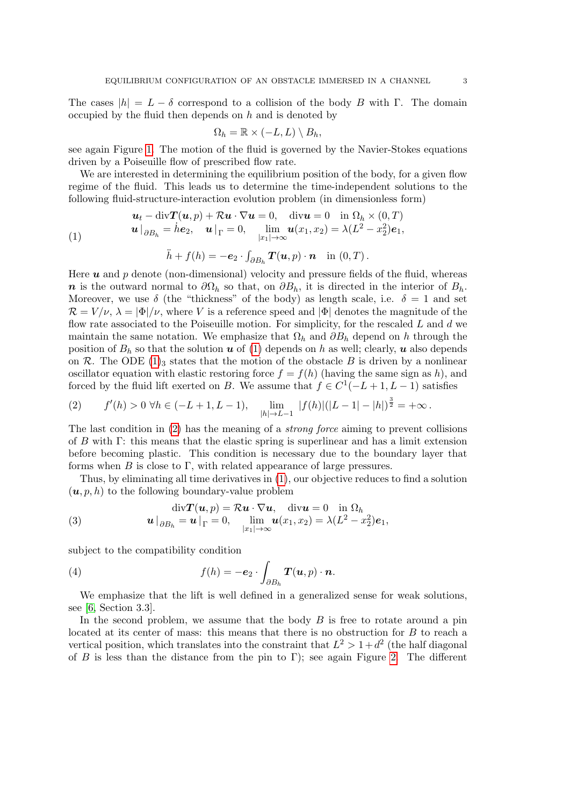The cases  $|h| = L - \delta$  correspond to a collision of the body B with Γ. The domain occupied by the fluid then depends on  $h$  and is denoted by

$$
\Omega_h = \mathbb{R} \times (-L, L) \setminus B_h,
$$

see again Figure [1.](#page-0-0) The motion of the fluid is governed by the Navier-Stokes equations driven by a Poiseuille flow of prescribed flow rate.

We are interested in determining the equilibrium position of the body, for a given flow regime of the fluid. This leads us to determine the time-independent solutions to the following fluid-structure-interaction evolution problem (in dimensionless form)

(1) 
$$
\mathbf{u}_t - \text{div} \mathbf{T}(\mathbf{u}, p) + \mathcal{R} \mathbf{u} \cdot \nabla \mathbf{u} = 0, \quad \text{div} \mathbf{u} = 0 \quad \text{in } \Omega_h \times (0, T)
$$

$$
\mathbf{u} \big|_{\partial B_h} = \dot{h} \mathbf{e}_2, \quad \mathbf{u} \big|_{\Gamma} = 0, \quad \lim_{|x_1| \to \infty} \mathbf{u}(x_1, x_2) = \lambda (L^2 - x_2^2) \mathbf{e}_1,
$$

<span id="page-2-1"></span>
$$
\ddot{h} + f(h) = -\mathbf{e}_2 \cdot \int_{\partial B_h} \mathbf{T}(\mathbf{u}, p) \cdot \mathbf{n} \quad \text{in } (0, T) \, .
$$

Here  $u$  and  $p$  denote (non-dimensional) velocity and pressure fields of the fluid, whereas n is the outward normal to  $\partial\Omega_h$  so that, on  $\partial B_h$ , it is directed in the interior of  $B_h$ . Moreover, we use  $\delta$  (the "thickness" of the body) as length scale, i.e.  $\delta = 1$  and set  $\mathcal{R} = V/\nu$ ,  $\lambda = |\Phi|/\nu$ , where V is a reference speed and  $|\Phi|$  denotes the magnitude of the flow rate associated to the Poiseuille motion. For simplicity, for the rescaled  $L$  and  $d$  we maintain the same notation. We emphasize that  $\Omega_h$  and  $\partial B_h$  depend on h through the position of  $B_h$  so that the solution u of [\(1\)](#page-2-1) depends on h as well; clearly, u also depends on R. The ODE [\(1\)](#page-2-1)<sub>3</sub> states that the motion of the obstacle B is driven by a nonlinear oscillator equation with elastic restoring force  $f = f(h)$  (having the same sign as h), and forced by the fluid lift exerted on B. We assume that  $f \in C^1(-L+1, L-1)$  satisfies

<span id="page-2-0"></span>(2) 
$$
f'(h) > 0 \ \forall h \in (-L+1, L-1), \quad \lim_{|h| \to L-1} |f(h)|(|L-1| - |h|)^{\frac{3}{2}} = +\infty.
$$

The last condition in  $(2)$  has the meaning of a *strong force* aiming to prevent collisions of B with Γ: this means that the elastic spring is superlinear and has a limit extension before becoming plastic. This condition is necessary due to the boundary layer that forms when  $B$  is close to  $\Gamma$ , with related appearance of large pressures.

Thus, by eliminating all time derivatives in [\(1\)](#page-2-1), our objective reduces to find a solution  $(u, p, h)$  to the following boundary-value problem

<span id="page-2-2"></span>(3) 
$$
\operatorname{div} T(u, p) = \mathcal{R} u \cdot \nabla u, \quad \operatorname{div} u = 0 \quad \text{in } \Omega_h
$$

$$
u\big|_{\partial B_h} = u\big|_{\Gamma} = 0, \quad \lim_{|x_1| \to \infty} u(x_1, x_2) = \lambda (L^2 - x_2^2) e_1,
$$

subject to the compatibility condition

<span id="page-2-3"></span>(4) 
$$
f(h) = -e_2 \cdot \int_{\partial B_h} \boldsymbol{T}(\boldsymbol{u}, p) \cdot \boldsymbol{n}.
$$

We emphasize that the lift is well defined in a generalized sense for weak solutions, see [\[6,](#page-11-1) Section 3.3].

In the second problem, we assume that the body  $B$  is free to rotate around a pin located at its center of mass: this means that there is no obstruction for B to reach a vertical position, which translates into the constraint that  $L^2 > 1 + d^2$  (the half diagonal of B is less than the distance from the pin to Γ); see again Figure [2.](#page-0-1) The different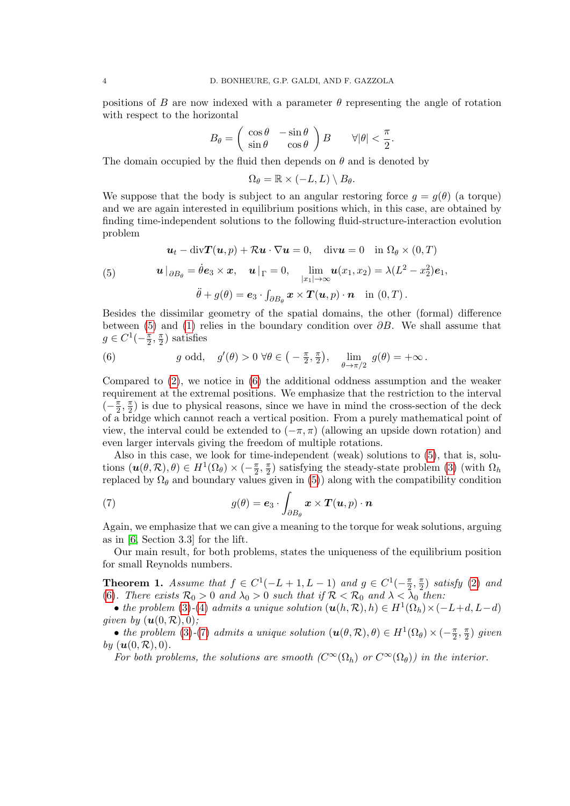positions of B are now indexed with a parameter  $\theta$  representing the angle of rotation with respect to the horizontal

$$
B_{\theta} = \begin{pmatrix} \cos \theta & -\sin \theta \\ \sin \theta & \cos \theta \end{pmatrix} B \qquad \forall |\theta| < \frac{\pi}{2}.
$$

The domain occupied by the fluid then depends on  $\theta$  and is denoted by

$$
\Omega_{\theta} = \mathbb{R} \times (-L, L) \setminus B_{\theta}.
$$

We suppose that the body is subject to an angular restoring force  $q = q(\theta)$  (a torque) and we are again interested in equilibrium positions which, in this case, are obtained by finding time-independent solutions to the following fluid-structure-interaction evolution problem

<span id="page-3-1"></span>
$$
\mathbf{u}_t - \text{div} \mathbf{T}(\mathbf{u}, p) + \mathcal{R} \mathbf{u} \cdot \nabla \mathbf{u} = 0, \quad \text{div} \mathbf{u} = 0 \quad \text{in } \Omega_\theta \times (0, T)
$$
  
\n5) 
$$
\mathbf{u} \big|_{\partial B_\theta} = \dot{\theta} \mathbf{e}_3 \times \mathbf{x}, \quad \mathbf{u} \big|_{\Gamma} = 0, \quad \lim_{|x_1| \to \infty} \mathbf{u}(x_1, x_2) = \lambda (L^2 - x_2^2) \mathbf{e}_1,
$$

<span id="page-3-0"></span>
$$
\ddot{\theta} + g(\theta) = \mathbf{e}_3 \cdot \int_{\partial B_{\theta}} \mathbf{x} \times \mathbf{T}(\mathbf{u}, p) \cdot \mathbf{n} \quad \text{in } (0, T) \, .
$$

Besides the dissimilar geometry of the spatial domains, the other (formal) difference between [\(5\)](#page-3-1) and [\(1\)](#page-2-1) relies in the boundary condition over  $\partial B$ . We shall assume that  $g \in C^1(-\frac{\pi}{2})$  $\frac{\pi}{2}, \frac{\pi}{2}$  $\frac{\pi}{2}$ ) satisfies

(6) 
$$
g \text{ odd}, \quad g'(\theta) > 0 \ \forall \theta \in \left( -\frac{\pi}{2}, \frac{\pi}{2} \right), \quad \lim_{\theta \to \pi/2} \ g(\theta) = +\infty.
$$

Compared to [\(2\)](#page-2-0), we notice in [\(6\)](#page-3-0) the additional oddness assumption and the weaker requirement at the extremal positions. We emphasize that the restriction to the interval  $\left(-\frac{\pi}{2}\right)$  $\frac{\pi}{2}, \frac{\pi}{2}$  $\frac{\pi}{2}$ ) is due to physical reasons, since we have in mind the cross-section of the deck of a bridge which cannot reach a vertical position. From a purely mathematical point of view, the interval could be extended to  $(-\pi, \pi)$  (allowing an upside down rotation) and even larger intervals giving the freedom of multiple rotations.

Also in this case, we look for time-independent (weak) solutions to [\(5\)](#page-3-1), that is, solutions  $(\boldsymbol{u}(\theta,\mathcal{R}),\theta) \in H^1(\Omega_\theta) \times (-\frac{\pi}{2})$  $\frac{\pi}{2}, \frac{\pi}{2}$  $\frac{\pi}{2}$ ) satisfying the steady-state problem [\(3\)](#page-2-2) (with  $\Omega_h$ replaced by  $\Omega_{\theta}$  and boundary values given in [\(5\)](#page-3-1)) along with the compatibility condition

<span id="page-3-2"></span>(7) 
$$
g(\theta) = \mathbf{e}_3 \cdot \int_{\partial B_{\theta}} \mathbf{x} \times \mathbf{T}(\mathbf{u}, p) \cdot \mathbf{n}
$$

Again, we emphasize that we can give a meaning to the torque for weak solutions, arguing as in [\[6,](#page-11-1) Section 3.3] for the lift.

Our main result, for both problems, states the uniqueness of the equilibrium position for small Reynolds numbers.

<span id="page-3-3"></span>**Theorem 1.** Assume that  $f \in C^1(-L+1, L-1)$  and  $g \in C^1(-\frac{\pi}{2})$  $\frac{\pi}{2}, \frac{\pi}{2}$  $\frac{\pi}{2}$ ) satisfy [\(2\)](#page-2-0) and [\(6\)](#page-3-0). There exists  $\mathcal{R}_0 > 0$  and  $\lambda_0 > 0$  such that if  $\mathcal{R} < \mathcal{R}_0$  and  $\lambda < \lambda_0$  then:

• the problem [\(3\)](#page-2-2)-[\(4\)](#page-2-3) admits a unique solution  $(\mathbf{u}(h,\mathcal{R}), h) \in H^1(\Omega_h) \times (-L+d, L-d)$ given by  $(\mathbf{u}(0,\mathcal{R}),0)$ ;

• the problem [\(3\)](#page-2-2)-[\(7\)](#page-3-2) admits a unique solution  $(\mathbf{u}(\theta,\mathcal{R}),\theta) \in H^1(\Omega_\theta) \times (-\frac{\pi}{2})$  $\frac{\pi}{2}, \frac{\pi}{2}$  $\frac{\pi}{2}$ ) given by  $(\boldsymbol{u}(0, \mathcal{R}), 0)$ .

For both problems, the solutions are smooth  $(C^{\infty}(\Omega_h))$  or  $C^{\infty}(\Omega_{\theta}))$  in the interior.

 $($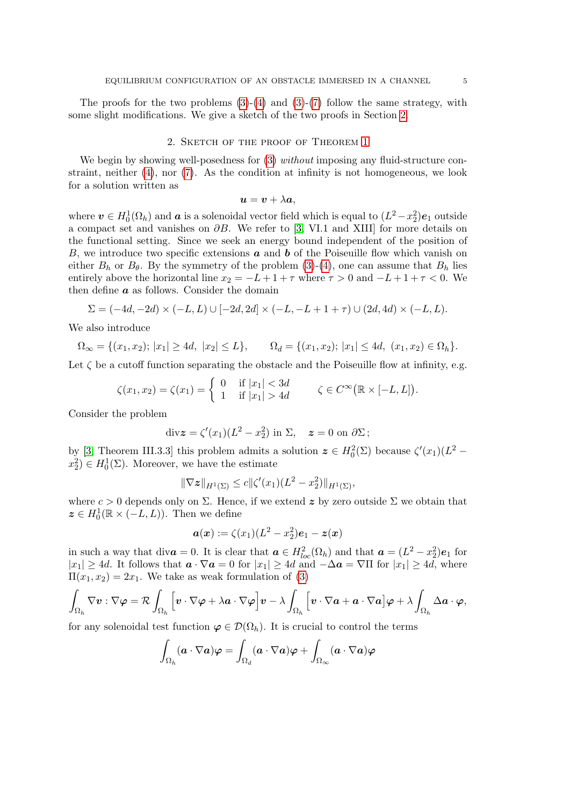The proofs for the two problems  $(3)-(4)$  $(3)-(4)$  and  $(3)-(7)$  $(3)-(7)$  follow the same strategy, with some slight modifications. We give a sketch of the two proofs in Section [2.](#page-4-0)

## 2. Sketch of the proof of Theorem [1](#page-3-3)

<span id="page-4-0"></span>We begin by showing well-posedness for  $(3)$  without imposing any fluid-structure constraint, neither  $(4)$ , nor  $(7)$ . As the condition at infinity is not homogeneous, we look for a solution written as

$$
\boldsymbol{u} = \boldsymbol{v} + \lambda \boldsymbol{a},
$$

where  $\bm{v} \in H_0^1(\Omega_h)$  and  $\bm{a}$  is a solenoidal vector field which is equal to  $(L^2-x_2^2)\bm{e}_1$  outside a compact set and vanishes on  $\partial B$ . We refer to [\[3,](#page-11-3) VI.1 and XIII] for more details on the functional setting. Since we seek an energy bound independent of the position of B, we introduce two specific extensions  $\boldsymbol{a}$  and  $\boldsymbol{b}$  of the Poiseuille flow which vanish on either  $B_h$  or  $B_\theta$ . By the symmetry of the problem [\(3\)](#page-2-2)-[\(4\)](#page-2-3), one can assume that  $B_h$  lies entirely above the horizontal line  $x_2 = -L + 1 + \tau$  where  $\tau > 0$  and  $-L + 1 + \tau < 0$ . We then define  $\boldsymbol{a}$  as follows. Consider the domain

$$
\Sigma = (-4d, -2d) \times (-L, L) \cup [-2d, 2d] \times (-L, -L+1+\tau) \cup (2d, 4d) \times (-L, L).
$$

We also introduce

$$
\Omega_{\infty} = \{(x_1, x_2); |x_1| \ge 4d, |x_2| \le L\}, \qquad \Omega_d = \{(x_1, x_2); |x_1| \le 4d, (x_1, x_2) \in \Omega_h\}.
$$

Let  $\zeta$  be a cutoff function separating the obstacle and the Poiseuille flow at infinity, e.g.

$$
\zeta(x_1, x_2) = \zeta(x_1) = \begin{cases} 0 & \text{if } |x_1| < 3d \\ 1 & \text{if } |x_1| > 4d \end{cases} \qquad \zeta \in C^\infty(\mathbb{R} \times [-L, L]).
$$

Consider the problem

$$
\operatorname{div} \boldsymbol{z} = \zeta'(x_1)(L^2 - x_2^2) \text{ in } \Sigma, \quad \boldsymbol{z} = 0 \text{ on } \partial \Sigma ;
$$

by [\[3,](#page-11-3) Theorem III.3.3] this problem admits a solution  $\boldsymbol{z} \in H_0^2(\Sigma)$  because  $\zeta'(x_1)(L^2$  $x_2^2$   $\in H_0^1(\Sigma)$ . Moreover, we have the estimate

$$
\|\nabla \boldsymbol{z}\|_{H^1(\Sigma)} \le c \|\zeta'(x_1)(L^2 - x_2^2)\|_{H^1(\Sigma)},
$$

where  $c > 0$  depends only on  $\Sigma$ . Hence, if we extend z by zero outside  $\Sigma$  we obtain that  $z \in H_0^1(\mathbb{R} \times (-L, L))$ . Then we define

$$
\mathbf{a}(\mathbf{x}) := \zeta(x_1)(L^2 - x_2^2)\mathbf{e}_1 - \mathbf{z}(\mathbf{x})
$$

in such a way that  $\text{div}\mathbf{a} = 0$ . It is clear that  $\mathbf{a} \in H_{loc}^2(\Omega_h)$  and that  $\mathbf{a} = (L^2 - x_2^2)\mathbf{e}_1$  for  $|x_1| \geq 4d$ . It follows that  $\mathbf{a} \cdot \nabla \mathbf{a} = 0$  for  $|x_1| \geq 4d$  and  $-\Delta \mathbf{a} = \nabla \Pi$  for  $|x_1| \geq 4d$ , where  $\Pi(x_1, x_2) = 2x_1$ . We take as weak formulation of [\(3\)](#page-2-2)

$$
\int_{\Omega_h} \nabla v : \nabla \varphi = \mathcal{R} \int_{\Omega_h} \left[ v \cdot \nabla \varphi + \lambda \mathbf{a} \cdot \nabla \varphi \right] v - \lambda \int_{\Omega_h} \left[ v \cdot \nabla \mathbf{a} + \mathbf{a} \cdot \nabla \mathbf{a} \right] \varphi + \lambda \int_{\Omega_h} \Delta \mathbf{a} \cdot \varphi,
$$

for any solenoidal test function  $\varphi \in \mathcal{D}(\Omega_h)$ . It is crucial to control the terms

$$
\int_{\Omega_h} (\bm{a} \cdot \nabla \bm{a}) \bm{\varphi} = \int_{\Omega_d} (\bm{a} \cdot \nabla \bm{a}) \bm{\varphi} + \int_{\Omega_{\infty}} (\bm{a} \cdot \nabla \bm{a}) \bm{\varphi}
$$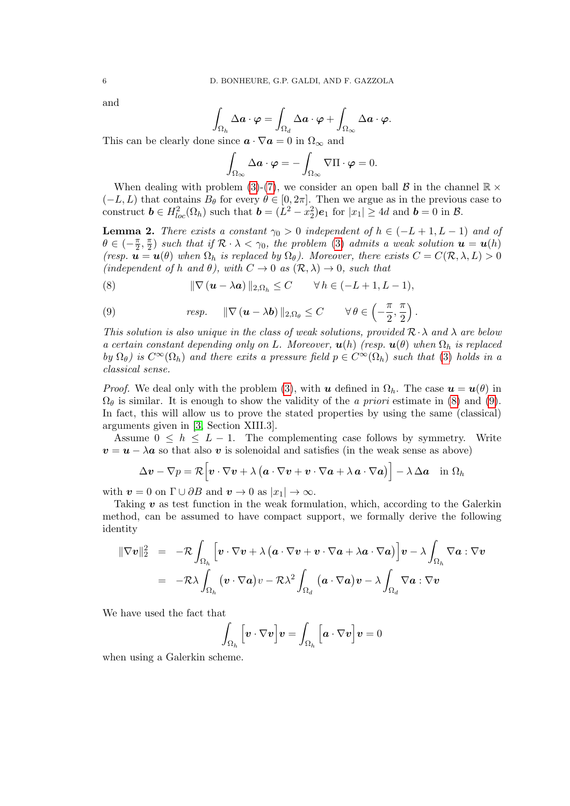and

$$
\int_{\Omega_h} \Delta \boldsymbol{a} \cdot \boldsymbol{\varphi} = \int_{\Omega_d} \Delta \boldsymbol{a} \cdot \boldsymbol{\varphi} + \int_{\Omega_{\infty}} \Delta \boldsymbol{a} \cdot \boldsymbol{\varphi}.
$$

This can be clearly done since  $\mathbf{a} \cdot \nabla \mathbf{a} = 0$  in  $\Omega_{\infty}$  and

$$
\int_{\Omega_{\infty}} \Delta \mathbf{a} \cdot \boldsymbol{\varphi} = -\int_{\Omega_{\infty}} \nabla \Pi \cdot \boldsymbol{\varphi} = 0.
$$

When dealing with problem [\(3\)](#page-2-2)-[\(7\)](#page-3-2), we consider an open ball  $\mathcal{B}$  in the channel  $\mathbb{R} \times$  $(-L, L)$  that contains  $B_{\theta}$  for every  $\theta \in [0, 2\pi]$ . Then we argue as in the previous case to construct  $\mathbf{b} \in H_{loc}^2(\Omega_h)$  such that  $\mathbf{b} = (L^2 - x_2^2)\mathbf{e}_1$  for  $|x_1| \ge 4d$  and  $\mathbf{b} = 0$  in  $\mathcal{B}$ .

<span id="page-5-2"></span>**Lemma 2.** There exists a constant  $\gamma_0 > 0$  independent of  $h \in (-L+1, L-1)$  and of  $\theta \in \left(-\frac{\pi}{2}\right)$  $\frac{\pi}{2}, \frac{\pi}{2}$  $\frac{\pi}{2}$ ) such that if  $\mathcal{R} \cdot \lambda < \gamma_0$ , the problem [\(3\)](#page-2-2) admits a weak solution  $\boldsymbol{u} = \boldsymbol{u}(h)$ (resp.  $\mathbf{u} = \mathbf{u}(\theta)$  when  $\Omega_h$  is replaced by  $\Omega_\theta$ ). Moreover, there exists  $C = C(\mathcal{R}, \lambda, L) > 0$ (independent of h and  $\theta$ ), with  $C \to 0$  as  $(\mathcal{R}, \lambda) \to 0$ , such that

<span id="page-5-0"></span>(8) 
$$
\|\nabla (\boldsymbol{u} - \lambda \boldsymbol{a})\|_{2,\Omega_h} \leq C \qquad \forall h \in (-L+1, L-1),
$$

<span id="page-5-1"></span>(9) 
$$
resp. \quad ||\nabla (\boldsymbol{u} - \lambda \boldsymbol{b})||_{2,\Omega_{\theta}} \leq C \quad \forall \theta \in \left(-\frac{\pi}{2}, \frac{\pi}{2}\right).
$$

This solution is also unique in the class of weak solutions, provided  $\mathcal{R} \cdot \lambda$  and  $\lambda$  are below a certain constant depending only on L. Moreover,  $\mathbf{u}(h)$  (resp.  $\mathbf{u}(\theta)$  when  $\Omega_h$  is replaced by  $\Omega_{\theta}$ ) is  $C^{\infty}(\Omega_h)$  and there exits a pressure field  $p \in C^{\infty}(\Omega_h)$  such that [\(3\)](#page-2-2) holds in a classical sense.

*Proof.* We deal only with the problem [\(3\)](#page-2-2), with u defined in  $\Omega_h$ . The case  $u = u(\theta)$  in  $\Omega_{\theta}$  is similar. It is enough to show the validity of the *a priori* estimate in [\(8\)](#page-5-0) and [\(9\)](#page-5-1). In fact, this will allow us to prove the stated properties by using the same (classical) arguments given in [\[3,](#page-11-3) Section XIII.3].

Assume  $0 \leq h \leq L - 1$ . The complementing case follows by symmetry. Write  $v = u - \lambda a$  so that also v is solenoidal and satisfies (in the weak sense as above)

$$
\Delta \mathbf{v} - \nabla p = \mathcal{R} \Big[ \mathbf{v} \cdot \nabla \mathbf{v} + \lambda \left( \mathbf{a} \cdot \nabla \mathbf{v} + \mathbf{v} \cdot \nabla \mathbf{a} + \lambda \mathbf{a} \cdot \nabla \mathbf{a} \right) \Big] - \lambda \Delta \mathbf{a} \quad \text{in } \Omega_h
$$

with  $\mathbf{v} = 0$  on  $\Gamma \cup \partial B$  and  $\mathbf{v} \to 0$  as  $|x_1| \to \infty$ .

Taking  $\boldsymbol{v}$  as test function in the weak formulation, which, according to the Galerkin method, can be assumed to have compact support, we formally derive the following identity

$$
\begin{array}{rcl} \|\nabla \boldsymbol{v}\|_2^2 & = & -\mathcal{R}\int_{\Omega_h}\Big[\boldsymbol{v}\cdot \nabla \boldsymbol{v} + \lambda\left(\boldsymbol{a}\cdot \nabla \boldsymbol{v} + \boldsymbol{v}\cdot \nabla \boldsymbol{a} + \lambda \boldsymbol{a}\cdot \nabla \boldsymbol{a}\right)\Big]\boldsymbol{v} - \lambda\int_{\Omega_h}\nabla \boldsymbol{a}:\nabla \boldsymbol{v} \\ \\ & = & -\mathcal{R}\lambda\int_{\Omega_h}\big(\boldsymbol{v}\cdot \nabla \boldsymbol{a}\big)v - \mathcal{R}\lambda^2\int_{\Omega_d}\big(\boldsymbol{a}\cdot \nabla \boldsymbol{a}\big)\boldsymbol{v} - \lambda\int_{\Omega_d}\nabla \boldsymbol{a}:\nabla \boldsymbol{v} \end{array}
$$

We have used the fact that

$$
\int_{\Omega_h} \left[ \boldsymbol{v} \cdot \nabla \boldsymbol{v} \right] \boldsymbol{v} = \int_{\Omega_h} \left[ \boldsymbol{a} \cdot \nabla \boldsymbol{v} \right] \boldsymbol{v} = 0
$$

when using a Galerkin scheme.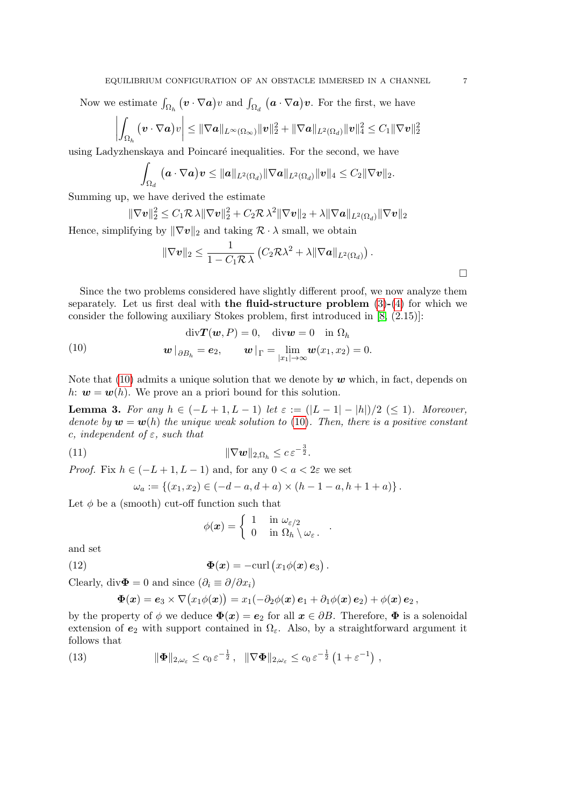Now we estimate  $\int_{\Omega_h} (\bm{v} \cdot \nabla \bm{a}) v$  and  $\int_{\Omega_d} (\bm{a} \cdot \nabla \bm{a}) \bm{v}$ . For the first, we have

$$
\left|\int_{\Omega_h} \left(v \cdot \nabla a\right) v\right| \leq \|\nabla a\|_{L^{\infty}(\Omega_{\infty})} \|v\|_2^2 + \|\nabla a\|_{L^2(\Omega_d)} \|v\|_4^2 \leq C_1 \|\nabla v\|_2^2
$$

using Ladyzhenskaya and Poincaré inequalities. For the second, we have

$$
\int_{\Omega_d} \left( \boldsymbol{a} \cdot \nabla \boldsymbol{a} \right) \boldsymbol{v} \leq \|\boldsymbol{a}\|_{L^2(\Omega_d)} \|\nabla \boldsymbol{a}\|_{L^2(\Omega_d)} \|\boldsymbol{v}\|_4 \leq C_2 \|\nabla \boldsymbol{v}\|_2.
$$

Summing up, we have derived the estimate

$$
\|\nabla \boldsymbol{v}\|_2^2 \leq C_1 \mathcal{R} \lambda \|\nabla \boldsymbol{v}\|_2^2 + C_2 \mathcal{R} \lambda^2 \|\nabla \boldsymbol{v}\|_2 + \lambda \|\nabla \boldsymbol{a}\|_{L^2(\Omega_d)} \|\nabla \boldsymbol{v}\|_2
$$

Hence, simplifying by  $\|\nabla v\|_2$  and taking  $\mathcal{R} \cdot \lambda$  small, we obtain

$$
\|\nabla \boldsymbol{v}\|_2 \leq \frac{1}{1 - C_1 \mathcal{R} \lambda} \left( C_2 \mathcal{R} \lambda^2 + \lambda \|\nabla \boldsymbol{a}\|_{L^2(\Omega_d)} \right).
$$

Since the two problems considered have slightly different proof, we now analyze them separately. Let us first deal with the fluid-structure problem  $(3)-(4)$  $(3)-(4)$  $(3)-(4)$  for which we consider the following auxiliary Stokes problem, first introduced in [\[8,](#page-11-4) (2.15)]:

<span id="page-6-0"></span>(10) 
$$
\operatorname{div} \mathbf{T}(\mathbf{w}, P) = 0, \quad \operatorname{div} \mathbf{w} = 0 \quad \text{in } \Omega_h
$$

$$
\mathbf{w} \big|_{\partial B_h} = \mathbf{e}_2, \qquad \mathbf{w} \big|_{\Gamma} = \lim_{|x_1| \to \infty} \mathbf{w}(x_1, x_2) = 0.
$$

Note that [\(10\)](#page-6-0) admits a unique solution that we denote by  $w$  which, in fact, depends on h:  $w = w(h)$ . We prove an a priori bound for this solution.

<span id="page-6-3"></span>Lemma 3. For any  $h \in (-L + 1, L - 1)$  let  $\varepsilon := (|L - 1| - |h|)/2$  (≤ 1). Moreover, denote by  $w = w(h)$  the unique weak solution to [\(10\)](#page-6-0). Then, there is a positive constant c, independent of  $\varepsilon$ , such that

$$
\|\nabla \boldsymbol{w}\|_{2,\Omega_h} \leq c \, \varepsilon^{-\frac{3}{2}}.
$$

*Proof.* Fix  $h \in (-L+1, L-1)$  and, for any  $0 < a < 2\varepsilon$  we set

$$
\omega_a := \{(x_1, x_2) \in (-d - a, d + a) \times (h - 1 - a, h + 1 + a)\}.
$$

Let  $\phi$  be a (smooth) cut-off function such that

<span id="page-6-2"></span>
$$
\phi(\boldsymbol{x}) = \left\{ \begin{array}{ll} 1 & \textrm{ in } \omega_{\varepsilon/2} \\ 0 & \textrm{ in } \Omega_h \setminus \omega_{\varepsilon} \, . \end{array} \right.
$$

.

and set

(12) 
$$
\Phi(x) = -\operatorname{curl} (x_1 \phi(x) e_3).
$$

Clearly, div $\mathbf{\Phi} = 0$  and since  $(\partial_i \equiv \partial/\partial x_i)$ 

<span id="page-6-1"></span>
$$
\boldsymbol{\Phi}(\boldsymbol{x}) = \boldsymbol{e}_3 \times \nabla \big(x_1 \phi(\boldsymbol{x})\big) = x_1 (- \partial_2 \phi(\boldsymbol{x}) \, \boldsymbol{e}_1 + \partial_1 \phi(\boldsymbol{x}) \, \boldsymbol{e}_2) + \phi(\boldsymbol{x}) \, \boldsymbol{e}_2 \,,
$$

by the property of  $\phi$  we deduce  $\Phi(x) = e_2$  for all  $x \in \partial B$ . Therefore,  $\Phi$  is a solenoidal extension of  $e_2$  with support contained in  $\Omega_{\varepsilon}$ . Also, by a straightforward argument it follows that

(13) 
$$
\|\mathbf{\Phi}\|_{2,\omega_{\varepsilon}} \leq c_0 \, \varepsilon^{-\frac{1}{2}}, \quad \|\nabla\mathbf{\Phi}\|_{2,\omega_{\varepsilon}} \leq c_0 \, \varepsilon^{-\frac{1}{2}} \left(1 + \varepsilon^{-1}\right) \,,
$$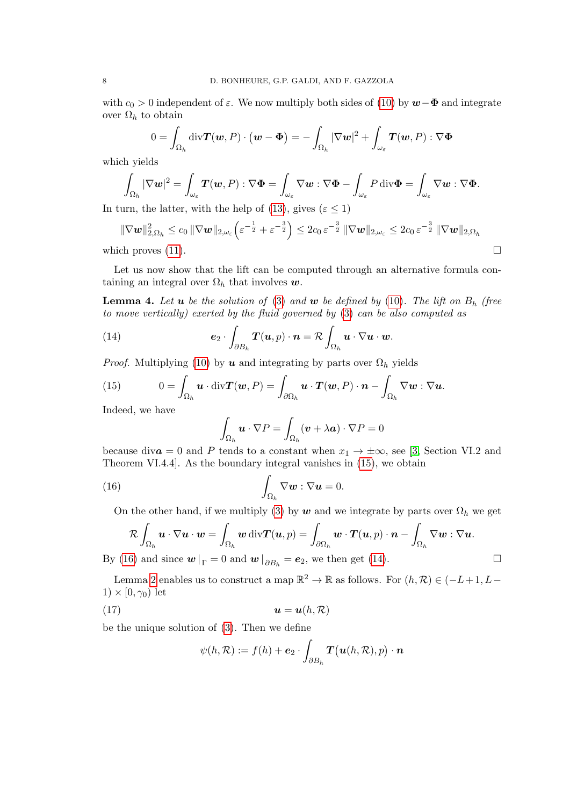with  $c_0 > 0$  independent of  $\varepsilon$ . We now multiply both sides of [\(10\)](#page-6-0) by  $w-\Phi$  and integrate over  $\Omega_h$  to obtain

$$
0 = \int_{\Omega_h} \text{div} \mathbf{T}(\mathbf{w}, P) \cdot (\mathbf{w} - \mathbf{\Phi}) = - \int_{\Omega_h} |\nabla \mathbf{w}|^2 + \int_{\omega_{\varepsilon}} \mathbf{T}(\mathbf{w}, P) : \nabla \mathbf{\Phi}
$$

which yields

$$
\int_{\Omega_h} |\nabla w|^2 = \int_{\omega_{\varepsilon}} T(w, P) : \nabla \Phi = \int_{\omega_{\varepsilon}} \nabla w : \nabla \Phi - \int_{\omega_{\varepsilon}} P \operatorname{div} \Phi = \int_{\omega_{\varepsilon}} \nabla w : \nabla \Phi.
$$

In turn, the latter, with the help of [\(13\)](#page-6-1), gives ( $\varepsilon \leq 1$ )

$$
\|\nabla \mathbf{w}\|_{2,\Omega_h}^2 \leq c_0 \|\nabla \mathbf{w}\|_{2,\omega_{\varepsilon}} \left(\varepsilon^{-\frac{1}{2}} + \varepsilon^{-\frac{3}{2}}\right) \leq 2c_0 \varepsilon^{-\frac{3}{2}} \|\nabla \mathbf{w}\|_{2,\omega_{\varepsilon}} \leq 2c_0 \varepsilon^{-\frac{3}{2}} \|\nabla \mathbf{w}\|_{2,\Omega_h}
$$
\nwhich proves (11).

Let us now show that the lift can be computed through an alternative formula containing an integral over  $\Omega_h$  that involves  $w$ .

<span id="page-7-3"></span>**Lemma 4.** Let  $u$  be the solution of [\(3\)](#page-2-2) and  $w$  be defined by [\(10\)](#page-6-0). The lift on  $B_h$  (free to move vertically) exerted by the fluid governed by [\(3\)](#page-2-2) can be also computed as

(14) 
$$
\mathbf{e}_2 \cdot \int_{\partial B_h} \mathbf{T}(\mathbf{u}, p) \cdot \mathbf{n} = \mathcal{R} \int_{\Omega_h} \mathbf{u} \cdot \nabla \mathbf{u} \cdot \mathbf{w}.
$$

*Proof.* Multiplying [\(10\)](#page-6-0) by **u** and integrating by parts over  $\Omega_h$  yields

<span id="page-7-0"></span>(15) 
$$
0 = \int_{\Omega_h} \mathbf{u} \cdot \text{div} \mathbf{T}(\mathbf{w}, P) = \int_{\partial \Omega_h} \mathbf{u} \cdot \mathbf{T}(\mathbf{w}, P) \cdot \mathbf{n} - \int_{\Omega_h} \nabla \mathbf{w} : \nabla \mathbf{u}.
$$

Indeed, we have

<span id="page-7-2"></span><span id="page-7-1"></span>
$$
\int_{\Omega_h} \mathbf{u} \cdot \nabla P = \int_{\Omega_h} (\mathbf{v} + \lambda \mathbf{a}) \cdot \nabla P = 0
$$

because div $a = 0$  and P tends to a constant when  $x_1 \rightarrow \pm \infty$ , see [\[3,](#page-11-3) Section VI.2 and Theorem VI.4.4]. As the boundary integral vanishes in [\(15\)](#page-7-0), we obtain

(16) 
$$
\int_{\Omega_h} \nabla \boldsymbol{w} : \nabla \boldsymbol{u} = 0.
$$

On the other hand, if we multiply [\(3\)](#page-2-2) by w and we integrate by parts over  $\Omega_h$  we get

$$
\mathcal{R} \int_{\Omega_h} \boldsymbol{u} \cdot \nabla \boldsymbol{u} \cdot \boldsymbol{w} = \int_{\Omega_h} \boldsymbol{w} \operatorname{div} \boldsymbol{T}(\boldsymbol{u}, p) = \int_{\partial \Omega_h} \boldsymbol{w} \cdot \boldsymbol{T}(\boldsymbol{u}, p) \cdot \boldsymbol{n} - \int_{\Omega_h} \nabla \boldsymbol{w} : \nabla \boldsymbol{u}.
$$
\n6) and since  $\boldsymbol{w} \models -0$  and  $\boldsymbol{w} \models -\boldsymbol{e}$ , we then get (14)

By [\(16\)](#page-7-1) and since  $\boldsymbol{w}\big|_{\Gamma} = 0$  and  $\boldsymbol{w}\big|_{\partial B_h} = \boldsymbol{e}_2$ , we then get [\(14\)](#page-7-2).

Lemma [2](#page-5-2) enables us to construct a map  $\mathbb{R}^2 \to \mathbb{R}$  as follows. For  $(h, \mathcal{R}) \in (-L+1, L-\mathcal{R})$  $1) \times [0, \gamma_0)$  let

(17) u = u(h, R)

be the unique solution of [\(3\)](#page-2-2). Then we define

<span id="page-7-4"></span>
$$
\psi(h,\mathcal{R}) := f(h) + \mathbf{e}_2 \cdot \int_{\partial B_h} \mathbf{T}(\mathbf{u}(h,\mathcal{R}),p) \cdot \mathbf{n}
$$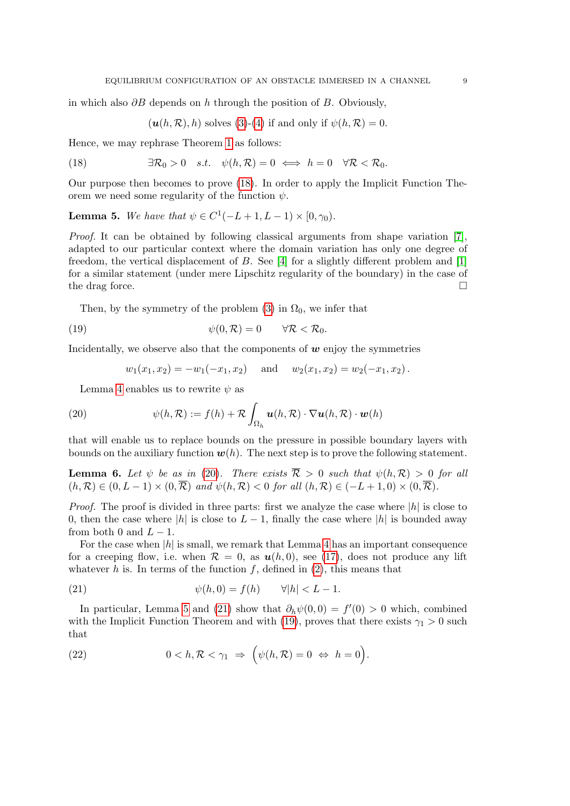in which also  $\partial B$  depends on h through the position of B. Obviously,

<span id="page-8-0"></span> $(\mathbf{u}(h,\mathcal{R}), h)$  solves [\(3\)](#page-2-2)-[\(4\)](#page-2-3) if and only if  $\psi(h,\mathcal{R})=0$ .

Hence, we may rephrase Theorem [1](#page-3-3) as follows:

(18) 
$$
\exists \mathcal{R}_0 > 0 \quad s.t. \quad \psi(h, \mathcal{R}) = 0 \iff h = 0 \quad \forall \mathcal{R} < \mathcal{R}_0.
$$

Our purpose then becomes to prove [\(18\)](#page-8-0). In order to apply the Implicit Function Theorem we need some regularity of the function  $\psi$ .

<span id="page-8-2"></span>**Lemma 5.** We have that  $\psi \in C^1(-L+1, L-1) \times [0, \gamma_0)$ .

Proof. It can be obtained by following classical arguments from shape variation [\[7\]](#page-11-5), adapted to our particular context where the domain variation has only one degree of freedom, the vertical displacement of  $B$ . See [\[4\]](#page-11-6) for a slightly different problem and [\[1\]](#page-11-7) for a similar statement (under mere Lipschitz regularity of the boundary) in the case of the drag force.  $\Box$ 

Then, by the symmetry of the problem [\(3\)](#page-2-2) in  $\Omega_0$ , we infer that

(19) 
$$
\psi(0,\mathcal{R})=0 \qquad \forall \mathcal{R}<\mathcal{R}_0.
$$

Incidentally, we observe also that the components of  $w$  enjoy the symmetries

<span id="page-8-4"></span><span id="page-8-1"></span>
$$
w_1(x_1, x_2) = -w_1(-x_1, x_2)
$$
 and  $w_2(x_1, x_2) = w_2(-x_1, x_2)$ .

Lemma [4](#page-7-3) enables us to rewrite  $\psi$  as

(20) 
$$
\psi(h,\mathcal{R}) := f(h) + \mathcal{R} \int_{\Omega_h} \mathbf{u}(h,\mathcal{R}) \cdot \nabla \mathbf{u}(h,\mathcal{R}) \cdot \mathbf{w}(h)
$$

that will enable us to replace bounds on the pressure in possible boundary layers with bounds on the auxiliary function  $w(h)$ . The next step is to prove the following statement.

<span id="page-8-6"></span>**Lemma 6.** Let  $\psi$  be as in [\(20\)](#page-8-1). There exists  $\overline{\mathcal{R}} > 0$  such that  $\psi(h,\mathcal{R}) > 0$  for all  $(h, \mathcal{R}) \in (0, L-1) \times (0, \overline{\mathcal{R}})$  and  $\psi(h, \mathcal{R}) < 0$  for all  $(h, \mathcal{R}) \in (-L+1, 0) \times (0, \overline{\mathcal{R}})$ .

*Proof.* The proof is divided in three parts: first we analyze the case where  $|h|$  is close to 0, then the case where |h| is close to  $L - 1$ , finally the case where |h| is bounded away from both 0 and  $L - 1$ .

For the case when  $|h|$  is small, we remark that Lemma [4](#page-7-3) has an important consequence for a creeping flow, i.e. when  $\mathcal{R} = 0$ , as  $u(h, 0)$ , see [\(17\)](#page-7-4), does not produce any lift whatever h is. In terms of the function  $f$ , defined in  $(2)$ , this means that

<span id="page-8-3"></span>(21) 
$$
\psi(h,0) = f(h) \qquad \forall |h| < L - 1.
$$

In particular, Lemma [5](#page-8-2) and [\(21\)](#page-8-3) show that  $\partial_h \psi(0,0) = f'(0) > 0$  which, combined with the Implicit Function Theorem and with [\(19\)](#page-8-4), proves that there exists  $\gamma_1 > 0$  such that

<span id="page-8-5"></span>(22) 
$$
0 < h, \mathcal{R} < \gamma_1 \Rightarrow \left(\psi(h, \mathcal{R}) = 0 \Leftrightarrow h = 0\right).
$$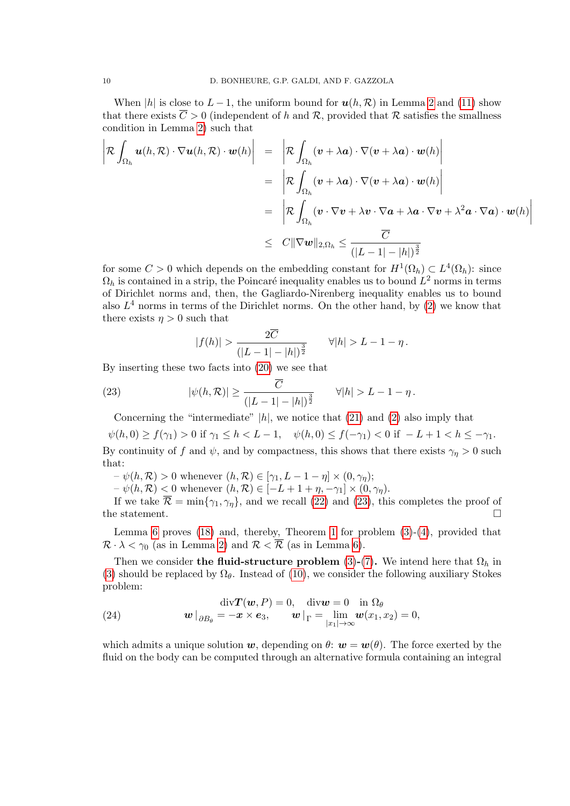When |h| is close to  $L-1$ , the uniform bound for  $u(h, \mathcal{R})$  in Lemma [2](#page-5-2) and [\(11\)](#page-6-2) show that there exists  $\overline{C} > 0$  (independent of h and R, provided that R satisfies the smallness condition in Lemma [2\)](#page-5-2) such that

$$
\left| \mathcal{R} \int_{\Omega_h} \boldsymbol{u}(h, \mathcal{R}) \cdot \nabla \boldsymbol{u}(h, \mathcal{R}) \cdot \boldsymbol{w}(h) \right| = \left| \mathcal{R} \int_{\Omega_h} (\boldsymbol{v} + \lambda \boldsymbol{a}) \cdot \nabla (\boldsymbol{v} + \lambda \boldsymbol{a}) \cdot \boldsymbol{w}(h) \right|
$$
  
\n
$$
= \left| \mathcal{R} \int_{\Omega_h} (\boldsymbol{v} + \lambda \boldsymbol{a}) \cdot \nabla (\boldsymbol{v} + \lambda \boldsymbol{a}) \cdot \boldsymbol{w}(h) \right|
$$
  
\n
$$
= \left| \mathcal{R} \int_{\Omega_h} (\boldsymbol{v} \cdot \nabla \boldsymbol{v} + \lambda \boldsymbol{v} \cdot \nabla \boldsymbol{a} + \lambda \boldsymbol{a} \cdot \nabla \boldsymbol{v} + \lambda^2 \boldsymbol{a} \cdot \nabla \boldsymbol{a}) \cdot \boldsymbol{w}(h) \right|
$$
  
\n
$$
\leq C \|\nabla \boldsymbol{w}\|_{2, \Omega_h} \leq \frac{\overline{C}}{(|L - 1| - |h|)^{\frac{3}{2}}}
$$

for some  $C > 0$  which depends on the embedding constant for  $H^1(\Omega_h) \subset L^4(\Omega_h)$ : since  $\Omega_h$  is contained in a strip, the Poincaré inequality enables us to bound  $L^2$  norms in terms of Dirichlet norms and, then, the Gagliardo-Nirenberg inequality enables us to bound also  $L^4$  norms in terms of the Dirichlet norms. On the other hand, by  $(2)$  we know that there exists  $\eta > 0$  such that

<span id="page-9-0"></span>
$$
|f(h)| > \frac{2\overline{C}}{(|L-1| - |h|)^{\frac{3}{2}}} \qquad \forall |h| > L - 1 - \eta.
$$

By inserting these two facts into [\(20\)](#page-8-1) we see that

(23) 
$$
|\psi(h,\mathcal{R})| \ge \frac{C}{(|L-1|-|h|)^{\frac{3}{2}}} \qquad \forall |h| > L-1-\eta.
$$

Concerning the "intermediate"  $|h|$ , we notice that [\(21\)](#page-8-3) and [\(2\)](#page-2-0) also imply that

 $\psi(h, 0) \ge f(\gamma_1) > 0$  if  $\gamma_1 \le h < L - 1$ ,  $\psi(h, 0) \le f(-\gamma_1) < 0$  if  $-L + 1 < h \le -\gamma_1$ .

By continuity of f and  $\psi$ , and by compactness, this shows that there exists  $\gamma_{\eta} > 0$  such that:

 $-\psi(h,\mathcal{R}) > 0$  whenever  $(h,\mathcal{R}) \in [\gamma_1, L-1-\eta] \times (0,\gamma_n);$ 

 $-\psi(h, \mathcal{R})$  < 0 whenever  $(h, \mathcal{R}) \in [-L + 1 + \eta, -\gamma_1] \times (0, \gamma_{\eta}).$ 

If we take  $\overline{\mathcal{R}} = \min\{\gamma_1, \gamma_n\}$ , and we recall [\(22\)](#page-8-5) and [\(23\)](#page-9-0), this completes the proof of the statement.  $\Box$ 

Lemma [6](#page-8-6) proves  $(18)$  and, thereby, Theorem [1](#page-3-3) for problem  $(3)-(4)$  $(3)-(4)$ , provided that  $\mathcal{R} \cdot \lambda < \gamma_0$  (as in Lemma [2\)](#page-5-2) and  $\mathcal{R} < \overline{\mathcal{R}}$  (as in Lemma [6\)](#page-8-6).

Then we consider the fluid-structure problem [\(3\)](#page-2-2)-[\(7\)](#page-3-2). We intend here that  $\Omega_h$  in [\(3\)](#page-2-2) should be replaced by  $\Omega_{\theta}$ . Instead of [\(10\)](#page-6-0), we consider the following auxiliary Stokes problem:

<span id="page-9-1"></span>(24) 
$$
\operatorname{div} \mathbf{T}(\mathbf{w}, P) = 0, \quad \operatorname{div} \mathbf{w} = 0 \quad \text{in } \Omega_{\theta}
$$

$$
\mathbf{w} \mid_{\partial B_{\theta}} = -\mathbf{x} \times \mathbf{e}_3, \qquad \mathbf{w} \mid_{\Gamma} = \lim_{\substack{|x_1| \to \infty}} \mathbf{w}(x_1, x_2) = 0,
$$

which admits a unique solution w, depending on  $\theta$ :  $w = w(\theta)$ . The force exerted by the fluid on the body can be computed through an alternative formula containing an integral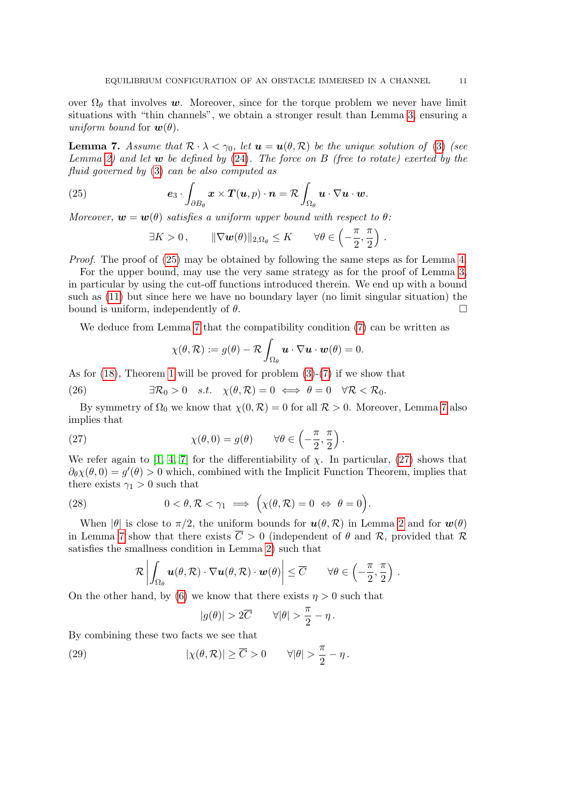over  $\Omega_{\theta}$  that involves w. Moreover, since for the torque problem we never have limit situations with "thin channels", we obtain a stronger result than Lemma [3,](#page-6-3) ensuring a uniform bound for  $\mathbf{w}(\theta)$ .

<span id="page-10-1"></span>**Lemma 7.** Assume that  $\mathcal{R} \cdot \lambda < \gamma_0$ , let  $\mathbf{u} = \mathbf{u}(\theta, \mathcal{R})$  be the unique solution of [\(3\)](#page-2-2) (see Lemma [2\)](#page-5-2) and let  $w$  be defined by  $(24)$ . The force on B (free to rotate) exerted by the fluid governed by [\(3\)](#page-2-2) can be also computed as

(25) 
$$
\mathbf{e}_3 \cdot \int_{\partial B_\theta} \mathbf{x} \times \mathbf{T}(\mathbf{u}, p) \cdot \mathbf{n} = \mathcal{R} \int_{\Omega_\theta} \mathbf{u} \cdot \nabla \mathbf{u} \cdot \mathbf{w}.
$$

Moreover,  $\mathbf{w} = \mathbf{w}(\theta)$  satisfies a uniform upper bound with respect to  $\theta$ :

<span id="page-10-0"></span>
$$
\exists K > 0, \qquad \|\nabla \boldsymbol{w}(\theta)\|_{2,\Omega_{\theta}} \leq K \qquad \forall \theta \in \left(-\frac{\pi}{2}, \frac{\pi}{2}\right) .
$$

Proof. The proof of [\(25\)](#page-10-0) may be obtained by following the same steps as for Lemma [4.](#page-7-3)

For the upper bound, may use the very same strategy as for the proof of Lemma [3,](#page-6-3) in particular by using the cut-off functions introduced therein. We end up with a bound such as [\(11\)](#page-6-2) but since here we have no boundary layer (no limit singular situation) the bound is uniform, independently of  $\theta$ .

We deduce from Lemma [7](#page-10-1) that the compatibility condition  $(7)$  can be written as

<span id="page-10-5"></span><span id="page-10-2"></span>
$$
\chi(\theta,\mathcal{R}) := g(\theta) - \mathcal{R} \int_{\Omega_{\theta}} \mathbf{u} \cdot \nabla \mathbf{u} \cdot \mathbf{w}(\theta) = 0.
$$

As for [\(18\)](#page-8-0), Theorem [1](#page-3-3) will be proved for problem [\(3\)](#page-2-2)-[\(7\)](#page-3-2) if we show that

(26) 
$$
\exists \mathcal{R}_0 > 0 \quad s.t. \quad \chi(\theta, \mathcal{R}) = 0 \iff \theta = 0 \quad \forall \mathcal{R} < \mathcal{R}_0.
$$

By symmetry of  $\Omega_0$  we know that  $\chi(0, \mathcal{R}) = 0$  for all  $\mathcal{R} > 0$ . Moreover, Lemma [7](#page-10-1) also implies that

(27) 
$$
\chi(\theta,0) = g(\theta) \qquad \forall \theta \in \left(-\frac{\pi}{2},\frac{\pi}{2}\right).
$$

We refer again to [\[1,](#page-11-7) [4,](#page-11-6) [7\]](#page-11-5) for the differentiability of  $\chi$ . In particular, [\(27\)](#page-10-2) shows that  $\partial_{\theta} \chi(\theta,0) = g'(\theta) > 0$  which, combined with the Implicit Function Theorem, implies that there exists  $\gamma_1 > 0$  such that

(28) 
$$
0 < \theta, \mathcal{R} < \gamma_1 \implies \left(\chi(\theta, \mathcal{R}) = 0 \iff \theta = 0\right).
$$

When  $|\theta|$  is close to  $\pi/2$ , the uniform bounds for  $u(\theta, \mathcal{R})$  in Lemma [2](#page-5-2) and for  $w(\theta)$ in Lemma [7](#page-10-1) show that there exists  $\overline{C} > 0$  (independent of  $\theta$  and  $\mathcal{R}$ , provided that  $\mathcal{R}$ satisfies the smallness condition in Lemma [2\)](#page-5-2) such that

<span id="page-10-3"></span>
$$
\mathcal{R}\left|\int_{\Omega_{\theta}} \boldsymbol{u}(\theta,\mathcal{R})\cdot\nabla \boldsymbol{u}(\theta,\mathcal{R})\cdot\boldsymbol{w}(\theta)\right| \leq \overline{C} \qquad \forall \theta \in \left(-\frac{\pi}{2},\frac{\pi}{2}\right) .
$$

On the other hand, by [\(6\)](#page-3-0) we know that there exists  $\eta > 0$  such that

<span id="page-10-4"></span>
$$
|g(\theta)|>2\overline{C}\qquad \forall |\theta|>\frac{\pi}{2}-\eta\,.
$$

By combining these two facts we see that

(29)  $|\chi(\theta, \mathcal{R})| \geq \overline{C} > 0 \qquad \forall |\theta| > \frac{\pi}{2}$  $\frac{\pi}{2} - \eta$ .